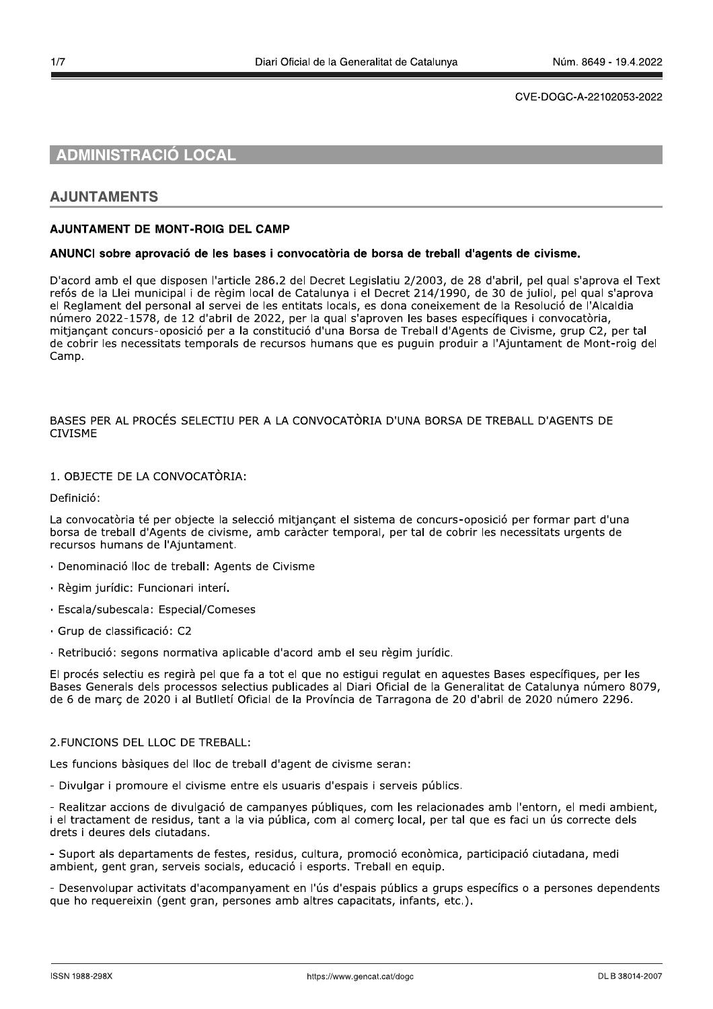# **ADMINISTRACIÓ LOCAL**

# **AJUNTAMENTS**

# **AJUNTAMENT DE MONT-ROIG DEL CAMP**

#### ANUNCI sobre aprovació de les bases i convocatòria de borsa de treball d'agents de civisme.

D'acord amb el que disposen l'article 286.2 del Decret Legislatiu 2/2003, de 28 d'abril, pel qual s'aprova el Text refós de la Llei municipal i de règim local de Catalunya i el Decret 214/1990, de 30 de juliol, pel qual s'aprova el Reglament del personal al servei de les entitats locals, es dona coneixement de la Resolució de l'Alcaldia número 2022-1578, de 12 d'abril de 2022, per la qual s'aproven les bases específiques i convocatòria. mitiancant concurs-oposició per a la constitució d'una Borsa de Treball d'Agents de Civisme, grup C2, per tal de cobrir les necessitats temporals de recursos humans que es puguin produir a l'Ajuntament de Mont-roig del Camp.

# BASES PER AL PROCÉS SELECTIU PER A LA CONVOCATÒRIA D'UNA BORSA DE TREBALL D'AGENTS DE **CIVISME**

# 1. OBJECTE DE LA CONVOCATÒRIA:

Definició:

La convocatòria té per obiecte la selecció mitiancant el sistema de concurs-oposició per formar part d'una borsa de treball d'Agents de civisme, amb caràcter temporal, per tal de cobrir les necessitats urgents de recursos humans de l'Ajuntament.

- · Denominació lloc de treball: Agents de Civisme
- · Règim jurídic: Funcionari interí.
- · Escala/subescala: Especial/Comeses
- · Grup de classificació: C2

· Retribució: segons normativa aplicable d'acord amb el seu règim jurídic.

El procés selectiu es regirà pel que fa a tot el que no estigui regulat en aquestes Bases específiques, per les Bases Generals dels processos selectius publicades al Diari Oficial de la Generalitat de Catalunya número 8079, de 6 de març de 2020 i al Butlletí Oficial de la Província de Tarragona de 20 d'abril de 2020 número 2296.

## 2. FUNCIONS DEL LLOC DE TREBALL:

Les funcions bàsiques del lloc de treball d'agent de civisme seran:

- Divulgar i promoure el civisme entre els usuaris d'espais i serveis públics.

- Realitzar accions de divulgació de campanyes públiques, com les relacionades amb l'entorn, el medi ambient, i el tractament de residus, tant a la via pública, com al comerc local, per tal que es faci un ús correcte dels drets i deures dels ciutadans.

- Suport als departaments de festes, residus, cultura, promoció econòmica, participació ciutadana, medi ambient, gent gran, serveis socials, educació i esports. Treball en equip.

- Desenvolupar activitats d'acompanyament en l'ús d'espais públics a grups específics o a persones dependents que ho requereixin (gent gran, persones amb altres capacitats, infants, etc.).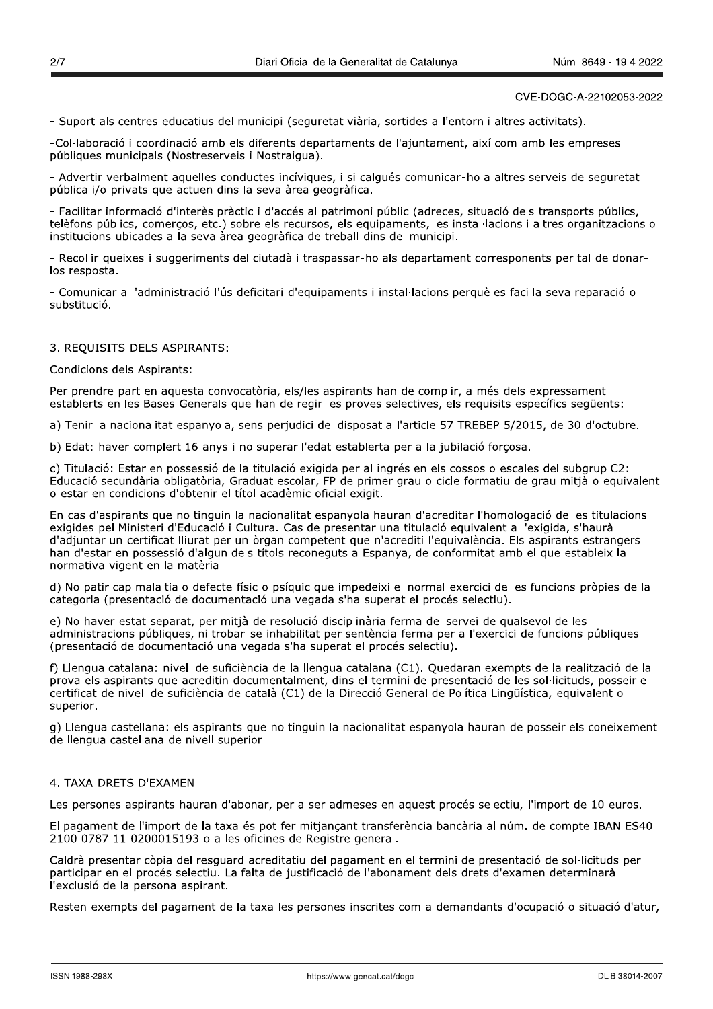- Suport als centres educatius del municipi (seguretat viària, sortides a l'entorn i altres activitats).

-Col·laboració i coordinació amb els diferents departaments de l'ajuntament, així com amb les empreses públiques municipals (Nostreserveis i Nostraiqua).

- Advertir verbalment aquelles conductes incíviques, i si calqués comunicar-ho a altres serveis de seguretat pública i/o privats que actuen dins la seva àrea geogràfica.

- Facilitar informació d'interès pràctic i d'accés al patrimoni públic (adreces, situació dels transports públics, telèfons públics, comerços, etc.) sobre els recursos, els equipaments, les instal·lacions i altres organitzacions o institucions ubicades a la seva àrea geogràfica de treball dins del municipi.

- Recollir queixes i suggeriments del ciutadà i traspassar-ho als departament corresponents per tal de donarlos resposta.

- Comunicar a l'administració l'ús deficitari d'equipaments i instal·lacions perquè es faci la seva reparació o substitució.

# 3. REQUISITS DELS ASPIRANTS:

#### Condicions dels Aspirants:

Per prendre part en aquesta convocatòria, els/les aspirants han de complir, a més dels expressament establerts en les Bases Generals que han de regir les proves selectives, els requisits específics sequents:

a) Tenir la nacionalitat espanyola, sens perjudici del disposat a l'article 57 TREBEP 5/2015, de 30 d'octubre.

b) Edat: haver complert 16 anys i no superar l'edat establerta per a la jubilació forcosa.

c) Titulació: Estar en possessió de la titulació exigida per al ingrés en els cossos o escales del subgrup C2: Educació secundària obligatòria, Graduat escolar, FP de primer grau o cicle formatiu de grau mitià o equivalent o estar en condicions d'obtenir el títol acadèmic oficial exigit.

En cas d'aspirants que no tinguin la nacionalitat espanyola hauran d'acreditar l'homologació de les titulacions exigides pel Ministeri d'Educació i Cultura. Cas de presentar una titulació equivalent a l'exigida, s'haurà d'adjuntar un certificat lliurat per un òrgan competent que n'acrediti l'equivalència. Els aspirants estrangers han d'estar en possessió d'algun dels títols reconeguts a Espanya, de conformitat amb el que estableix la normativa vigent en la matèria.

d) No patir cap malaltia o defecte físic o psíquic que impedeixi el normal exercici de les funcions pròpies de la categoria (presentació de documentació una vegada s'ha superat el procés selectiu).

e) No haver estat separat, per mitjà de resolució disciplinària ferma del servei de qualsevol de les administracions públiques, ni trobar-se inhabilitat per sentència ferma per a l'exercici de funcions públiques (presentació de documentació una vegada s'ha superat el procés selectiu).

f) Llengua catalana: nivell de suficiència de la llengua catalana (C1). Quedaran exempts de la realització de la prova els aspirants que acreditin documentalment, dins el termini de presentació de les sol·licituds, posseir el certificat de nivell de suficiència de català (C1) de la Direcció General de Política Lingüística, equivalent o superior.

g) Llengua castellana: els aspirants que no tinguin la nacionalitat espanyola hauran de posseir els coneixement de llengua castellana de nivell superior.

# 4. TAXA DRETS D'EXAMEN

Les persones aspirants hauran d'abonar, per a ser admeses en aquest procés selectiu, l'import de 10 euros.

El pagament de l'import de la taxa és pot fer mitjançant transferència bancària al núm. de compte IBAN ES40 2100 0787 11 0200015193 o a les oficines de Registre general.

Caldrà presentar còpia del resquard acreditatiu del pagament en el termini de presentació de sol·licituds per participar en el procés selectiu. La falta de justificació de l'abonament dels drets d'examen determinarà l'exclusió de la persona aspirant.

Resten exempts del pagament de la taxa les persones inscrites com a demandants d'ocupació o situació d'atur,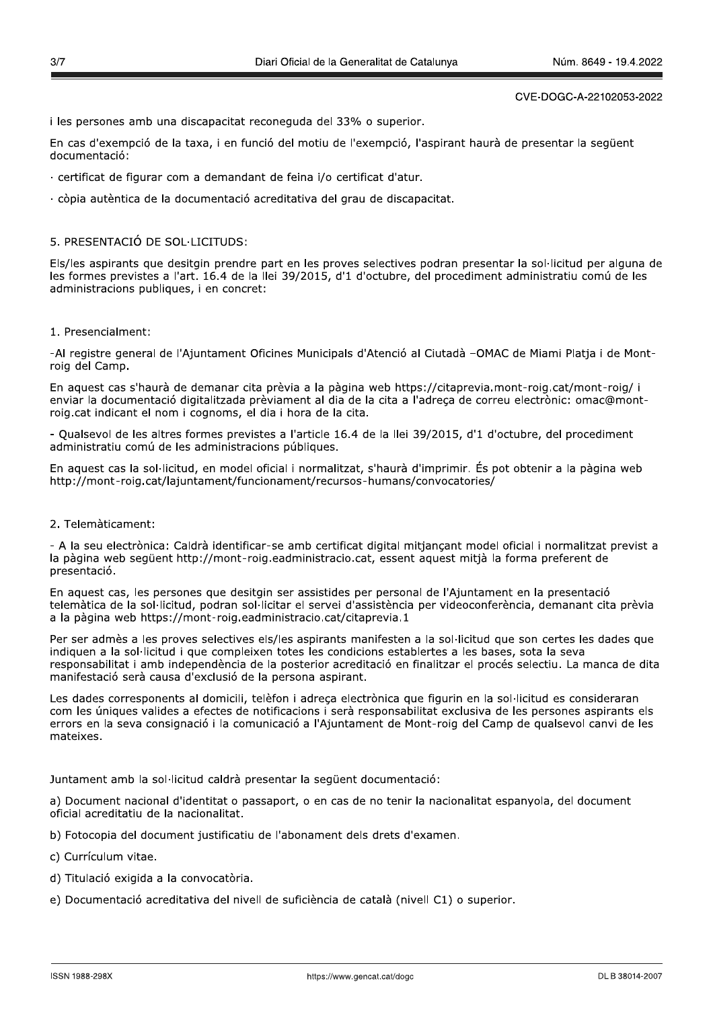i les persones amb una discapacitat reconeguda del 33% o superior.

En cas d'exempció de la taxa, i en funció del motiu de l'exempció, l'aspirant haurà de presentar la següent documentació:

- · certificat de figurar com a demandant de feina i/o certificat d'atur.
- · còpia autèntica de la documentació acreditativa del grau de discapacitat.

# 5. PRESENTACIÓ DE SOL·LICITUDS:

Els/les aspirants que desitgin prendre part en les proves selectives podran presentar la sol·licitud per alguna de les formes previstes a l'art. 16.4 de la llei 39/2015, d'1 d'octubre, del procediment administratiu comú de les administracions publiques, i en concret:

### 1. Presencialment:

-Al registre general de l'Ajuntament Oficines Municipals d'Atenció al Ciutadà -OMAC de Miami Platia i de Montroig del Camp.

En aquest cas s'haurà de demanar cita prèvia a la pàgina web https://citaprevia.mont-roig.cat/mont-roig/ i enviar la documentació digitalitzada prèviament al dia de la cita a l'adreça de correu electrònic: omac@montroig.cat indicant el nom i cognoms, el dia i hora de la cita.

- Qualsevol de les altres formes previstes a l'article 16.4 de la llei 39/2015, d'1 d'octubre, del procediment administratiu comú de les administracions públiques.

En aquest cas la sol·licitud, en model oficial i normalitzat, s'haurà d'imprimir. És pot obtenir a la pàgina web http://mont-roig.cat/laiuntament/funcionament/recursos-humans/convocatories/

# 2. Telemàticament:

- A la seu electrònica: Caldrà identificar-se amb certificat digital mitiancant model oficial i normalitzat previst a la pàgina web següent http://mont-roig.eadministracio.cat, essent aquest mitjà la forma preferent de presentació.

En aquest cas, les persones que desitgin ser assistides per personal de l'Ajuntament en la presentació telemàtica de la sol·licitud, podran sol·licitar el servei d'assistència per videoconferència, demanant cita prèvia a la pàgina web https://mont-roig.eadministracio.cat/citaprevia.1

Per ser admès a les proves selectives els/les aspirants manifesten a la sol·licitud que son certes les dades que indiquen a la sol·licitud i que compleixen totes les condicions establertes a les bases, sota la seva responsabilitat i amb independència de la posterior acreditació en finalitzar el procés selectiu. La manca de dita manifestació serà causa d'exclusió de la persona aspirant.

Les dades corresponents al domicili, telèfon i adreça electrònica que figurin en la sol·licitud es consideraran com les úniques valides a efectes de notificacions i serà responsabilitat exclusiva de les persones aspirants els errors en la seva consignació i la comunicació a l'Ajuntament de Mont-roig del Camp de qualsevol canvi de les mateixes.

Juntament amb la sol·licitud caldrà presentar la sequent documentació:

a) Document nacional d'identitat o passaport, o en cas de no tenir la nacionalitat espanyola, del document oficial acreditatiu de la nacionalitat.

- b) Fotocopia del document justificatiu de l'abonament dels drets d'examen.
- c) Currículum vitae.
- d) Titulació exigida a la convocatòria.
- e) Documentació acreditativa del nivell de suficiència de català (nivell C1) o superior.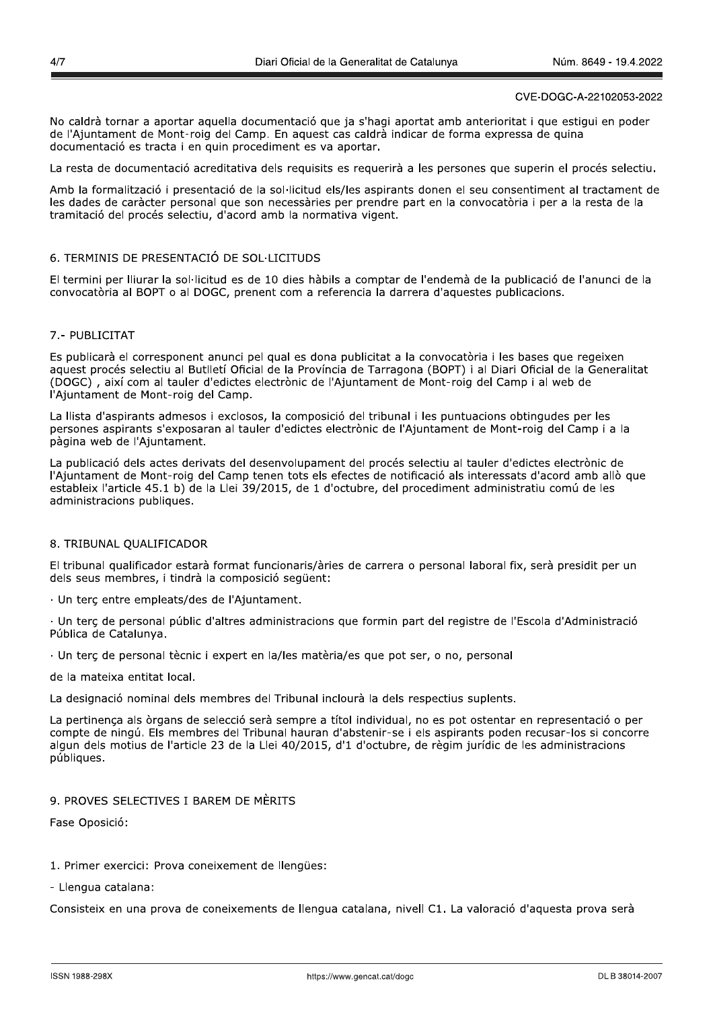No caldrà tornar a aportar aquella documentació que ja s'hagi aportat amb anterioritat i que estigui en poder de l'Ajuntament de Mont-roig del Camp. En aquest cas caldrà indicar de forma expressa de quina documentació es tracta i en quin procediment es va aportar.

La resta de documentació acreditativa dels requisits es requerirà a les persones que superin el procés selectiu.

Amb la formalització i presentació de la sol·licitud els/les aspirants donen el seu consentiment al tractament de les dades de caràcter personal que son necessàries per prendre part en la convocatòria i per a la resta de la tramitació del procés selectiu, d'acord amb la normativa vigent.

# 6. TERMINIS DE PRESENTACIÓ DE SOL·LICITUDS

El termini per lliurar la sol·licitud es de 10 dies hàbils a comptar de l'endemà de la publicació de l'anunci de la convocatòria al BOPT o al DOGC, prenent com a referencia la darrera d'aquestes publicacions.

# 7.- PUBLICITAT

Es publicarà el corresponent anunci pel qual es dona publicitat a la convocatòria i les bases que regeixen aquest procés selectiu al Butlletí Oficial de la Província de Tarragona (BOPT) i al Diari Oficial de la Generalitat (DOGC), així com al tauler d'edictes electrònic de l'Ajuntament de Mont-roig del Camp i al web de l'Aiuntament de Mont-roig del Camp.

La llista d'aspirants admesos i exclosos, la composició del tribunal i les puntuacions obtingudes per les persones aspirants s'exposaran al tauler d'edictes electrònic de l'Aiuntament de Mont-roig del Camp i a la pàgina web de l'Aiuntament.

La publicació dels actes derivats del desenvolupament del procés selectiu al tauler d'edictes electrònic de l'Ajuntament de Mont-roig del Camp tenen tots els efectes de notificació als interessats d'acord amb allò que estableix l'article 45.1 b) de la Llei 39/2015, de 1 d'octubre, del procediment administratiu comú de les administracions publiques.

## 8. TRIBUNAL QUALIFICADOR

El tribunal qualificador estarà format funcionaris/àries de carrera o personal laboral fix, serà presidit per un dels seus membres, i tindrà la composició següent:

· Un terc entre empleats/des de l'Ajuntament.

· Un terç de personal públic d'altres administracions que formin part del registre de l'Escola d'Administració Pública de Catalunya.

· Un terç de personal tècnic i expert en la/les matèria/es que pot ser, o no, personal

de la mateixa entitat local.

La designació nominal dels membres del Tribunal inclourà la dels respectius suplents.

La pertinenca als òrgans de selecció serà sempre a títol individual, no es pot ostentar en representació o per compte de ningú. Els membres del Tribunal hauran d'abstenir-se i els aspirants poden recusar-los si concorre algun dels motius de l'article 23 de la Llei 40/2015, d'1 d'octubre, de règim jurídic de les administracions públiques.

# 9. PROVES SELECTIVES I BAREM DE MÈRITS

Fase Oposició:

### 1. Primer exercici: Prova coneixement de llengües:

- Llengua catalana:

Consisteix en una prova de coneixements de llengua catalana, nivell C1. La valoració d'aguesta prova serà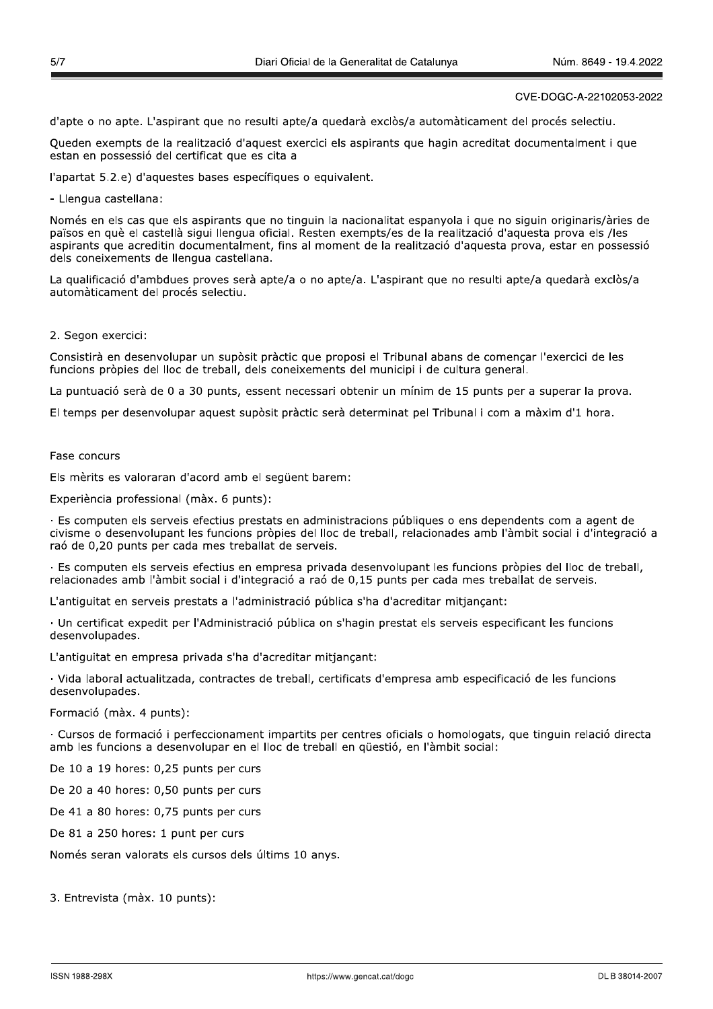d'apte o no apte. L'aspirant que no resulti apte/a quedarà exclòs/a automàticament del procés selectiu.

Oueden exempts de la realització d'aquest exercici els aspirants que hagin acreditat documentalment i que estan en possessió del certificat que es cita a

l'apartat 5.2.e) d'aquestes bases específiques o equivalent.

- Llengua castellana:

Només en els cas que els aspirants que no tinguin la nacionalitat espanyola i que no siguin originaris/àries de països en què el castellà sigui llengua oficial. Resten exempts/es de la realització d'aquesta prova els /les aspirants que acreditin documentalment, fins al moment de la realització d'aquesta prova, estar en possessió dels coneixements de llengua castellana.

La qualificació d'ambdues proves serà apte/a o no apte/a. L'aspirant que no resulti apte/a quedarà exclòs/a automàticament del procés selectiu.

#### 2. Segon exercici:

Consistirà en desenvolupar un supòsit pràctic que proposi el Tribunal abans de comencar l'exercici de les funcions pròpies del lloc de treball, dels coneixements del municipi i de cultura general.

La puntuació serà de 0 a 30 punts, essent necessari obtenir un mínim de 15 punts per a superar la prova.

El temps per desenvolupar aquest supòsit pràctic serà determinat pel Tribunal i com a màxim d'1 hora.

### Fase concurs

Els mèrits es valoraran d'acord amb el següent barem:

Experiència professional (màx. 6 punts):

· Es computen els serveis efectius prestats en administracions públiques o ens dependents com a agent de civisme o desenvolupant les funcions pròpies del lloc de treball, relacionades amb l'àmbit social i d'integració a raó de 0.20 punts per cada mes treballat de serveis.

· Es computen els serveis efectius en empresa privada desenvolupant les funcions pròpies del lloc de treball, relacionades amb l'àmbit social i d'integració a raó de 0,15 punts per cada mes treballat de serveis.

L'antiquitat en serveis prestats a l'administració pública s'ha d'acreditar mitjancant:

· Un certificat expedit per l'Administració pública on s'hagin prestat els serveis especificant les funcions desenvolupades.

L'antiquitat en empresa privada s'ha d'acreditar mitjançant:

· Vida laboral actualitzada, contractes de treball, certificats d'empresa amb especificació de les funcions desenvolupades.

Formació (màx. 4 punts):

· Cursos de formació i perfeccionament impartits per centres oficials o homologats, que tinguin relació directa amb les funcions a desenvolupar en el lloc de treball en güestió, en l'àmbit social:

De 10 a 19 hores: 0,25 punts per curs

De 20 a 40 hores: 0,50 punts per curs

De 41 a 80 hores: 0,75 punts per curs

De 81 a 250 hores: 1 punt per curs

Només seran valorats els cursos dels últims 10 anys.

3. Entrevista (màx. 10 punts):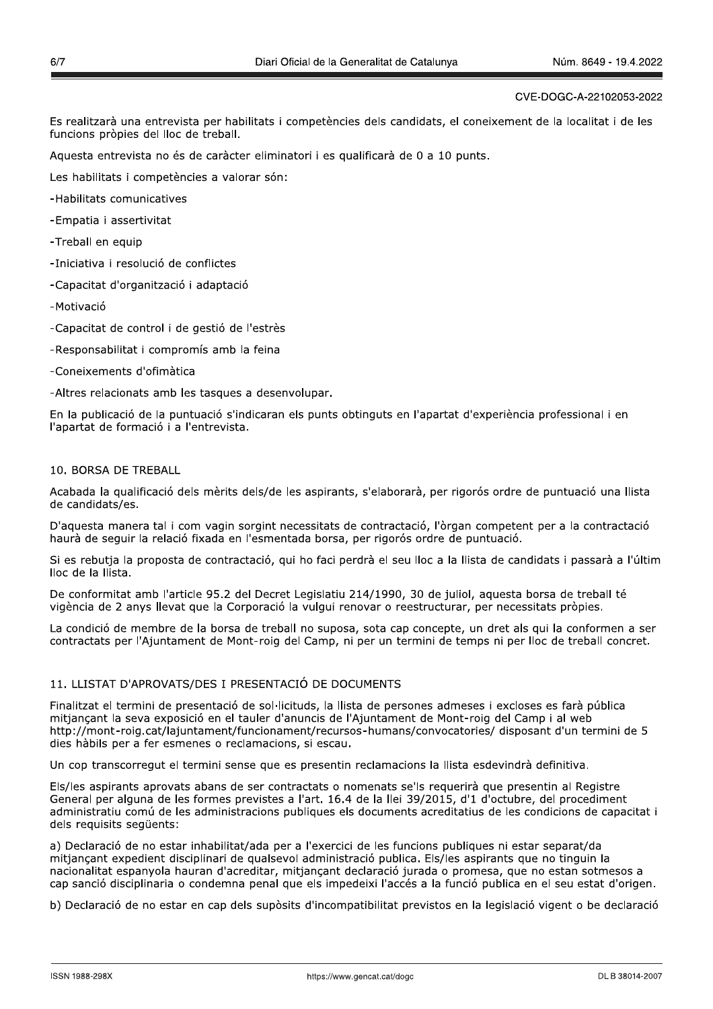Es realitzarà una entrevista per habilitats i competències dels candidats, el coneixement de la localitat i de les funcions pròpies del lloc de treball.

Aquesta entrevista no és de caràcter eliminatori i es qualificarà de 0 a 10 punts.

Les habilitats i competències a valorar són:

- -Habilitats comunicatives
- -Empatia i assertivitat
- -Treball en equip
- -Iniciativa i resolució de conflictes
- -Capacitat d'organització i adaptació
- -Motivació
- -Capacitat de control i de gestió de l'estrès
- -Responsabilitat i compromís amb la feina
- -Coneixements d'ofimàtica

-Altres relacionats amb les tasques a desenvolupar.

En la publicació de la puntuació s'indicaran els punts obtinguts en l'apartat d'experiència professional i en l'apartat de formació i a l'entrevista.

# 10. BORSA DE TREBALL

Acabada la qualificació dels mèrits dels/de les aspirants, s'elaborarà, per rigorós ordre de puntuació una llista de candidats/es.

D'aquesta manera tal i com vagin sorgint necessitats de contractació, l'òrgan competent per a la contractació haurà de seguir la relació fixada en l'esmentada borsa, per rigorós ordre de puntuació.

Si es rebutja la proposta de contractació, qui ho faci perdrà el seu lloc a la llista de candidats i passarà a l'últim lloc de la llista.

De conformitat amb l'article 95.2 del Decret Legislatiu 214/1990, 30 de juliol, aquesta borsa de treball té vigència de 2 anys llevat que la Corporació la vulgui renovar o reestructurar, per necessitats pròpies.

La condició de membre de la borsa de treball no suposa, sota cap concepte, un dret als qui la conformen a ser contractats per l'Ajuntament de Mont-roig del Camp, ni per un termini de temps ni per lloc de treball concret.

# 11. LLISTAT D'APROVATS/DES I PRESENTACIÓ DE DOCUMENTS

Finalitzat el termini de presentació de sol·licituds, la llista de persones admeses i excloses es farà pública mitjançant la seva exposició en el tauler d'anuncis de l'Ajuntament de Mont-roig del Camp i al web http://mont-roig.cat/laiuntament/funcionament/recursos-humans/convocatories/ disposant d'un termini de 5 dies hàbils per a fer esmenes o reclamacions, si escau.

Un cop transcorregut el termini sense que es presentin reclamacions la llista esdevindrà definitiva.

Els/les aspirants aprovats abans de ser contractats o nomenats se'ls requerirà que presentin al Registre General per alguna de les formes previstes a l'art. 16.4 de la llei 39/2015, d'1 d'octubre, del procediment administratiu comú de les administracions publiques els documents acreditatius de les condicions de capacitat i dels requisits seqüents:

a) Declaració de no estar inhabilitat/ada per a l'exercici de les funcions publiques ni estar separat/da mitjançant expedient disciplinari de qualsevol administració publica. Els/les aspirants que no tinguin la nacionalitat espanyola hauran d'acreditar, mitjançant declaració jurada o promesa, que no estan sotmesos a cap sanció disciplinaria o condemna penal que els impedeixi l'accés a la funció publica en el seu estat d'origen.

b) Declaració de no estar en cap dels supòsits d'incompatibilitat previstos en la legislació vigent o be declaració